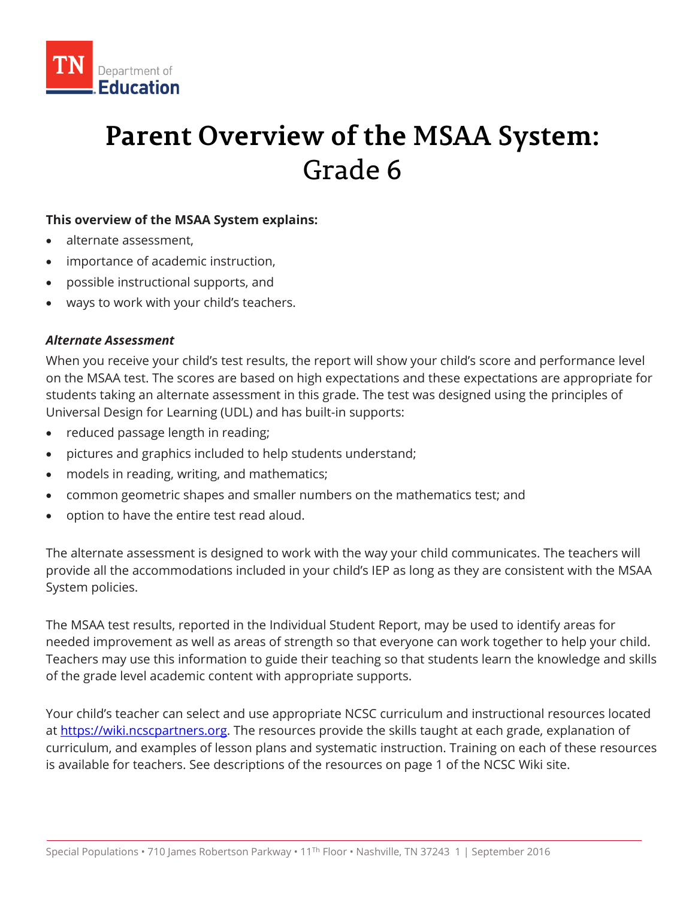

# **Parent Overview of the MSAA System:** Grade 6

### **This overview of the MSAA System explains:**

- alternate assessment,
- importance of academic instruction,
- possible instructional supports, and
- ways to work with your child's teachers.

#### *Alternate Assessment*

When you receive your child's test results, the report will show your child's score and performance level on the MSAA test. The scores are based on high expectations and these expectations are appropriate for students taking an alternate assessment in this grade. The test was designed using the principles of Universal Design for Learning (UDL) and has built-in supports:

- reduced passage length in reading;
- pictures and graphics included to help students understand;
- models in reading, writing, and mathematics;
- common geometric shapes and smaller numbers on the mathematics test; and
- option to have the entire test read aloud.

The alternate assessment is designed to work with the way your child communicates. The teachers will provide all the accommodations included in your child's IEP as long as they are consistent with the MSAA System policies.

The MSAA test results, reported in the Individual Student Report, may be used to identify areas for needed improvement as well as areas of strength so that everyone can work together to help your child. Teachers may use this information to guide their teaching so that students learn the knowledge and skills of the grade level academic content with appropriate supports.

Your child's teacher can select and use appropriate NCSC curriculum and instructional resources located at [https://wiki.ncscpartners.org.](https://wiki.ncscpartners.org/) The resources provide the skills taught at each grade, explanation of curriculum, and examples of lesson plans and systematic instruction. Training on each of these resources is available for teachers. See descriptions of the resources on page 1 of the NCSC Wiki site.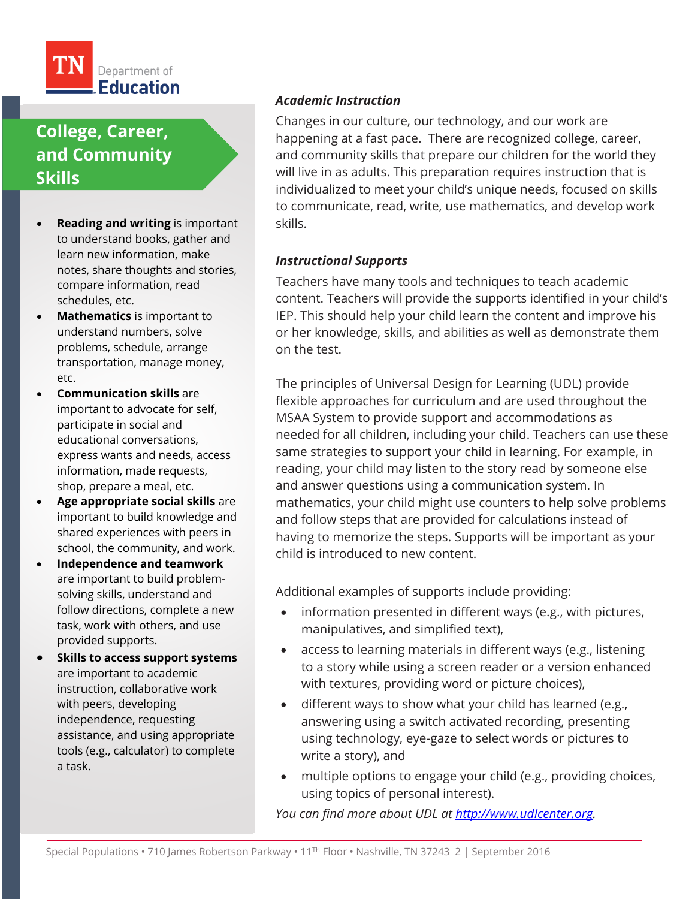

# **College, Career, and Community Skills**

- **Reading and writing** is important to understand books, gather and learn new information, make notes, share thoughts and stories, compare information, read schedules, etc.
- **Mathematics** is important to understand numbers, solve problems, schedule, arrange transportation, manage money, etc.
- **Communication skills** are important to advocate for self, participate in social and educational conversations, express wants and needs, access information, made requests, shop, prepare a meal, etc.
- **Age appropriate social skills** are important to build knowledge and shared experiences with peers in school, the community, and work.
- **Independence and teamwork**  are important to build problemsolving skills, understand and follow directions, complete a new task, work with others, and use provided supports.
- **Skills to access support systems** are important to academic instruction, collaborative work with peers, developing independence, requesting assistance, and using appropriate tools (e.g., calculator) to complete a task.

### *Academic Instruction*

Changes in our culture, our technology, and our work are happening at a fast pace. There are recognized college, career, and community skills that prepare our children for the world they will live in as adults. This preparation requires instruction that is individualized to meet your child's unique needs, focused on skills to communicate, read, write, use mathematics, and develop work skills.

### *Instructional Supports*

Teachers have many tools and techniques to teach academic content. Teachers will provide the supports identified in your child's IEP. This should help your child learn the content and improve his or her knowledge, skills, and abilities as well as demonstrate them on the test.

The principles of Universal Design for Learning (UDL) provide flexible approaches for curriculum and are used throughout the MSAA System to provide support and accommodations as needed for all children, including your child. Teachers can use these same strategies to support your child in learning. For example, in reading, your child may listen to the story read by someone else and answer questions using a communication system. In mathematics, your child might use counters to help solve problems and follow steps that are provided for calculations instead of having to memorize the steps. Supports will be important as your child is introduced to new content.

Additional examples of supports include providing:

- information presented in different ways (e.g., with pictures, manipulatives, and simplified text),
- access to learning materials in different ways (e.g., listening to a story while using a screen reader or a version enhanced with textures, providing word or picture choices),
- different ways to show what your child has learned (e.g., answering using a switch activated recording, presenting using technology, eye-gaze to select words or pictures to write a story), and
- multiple options to engage your child (e.g., providing choices, using topics of personal interest).

*You can find more about UDL at [http://www.udlcenter.org.](http://www.udlcenter.org/)*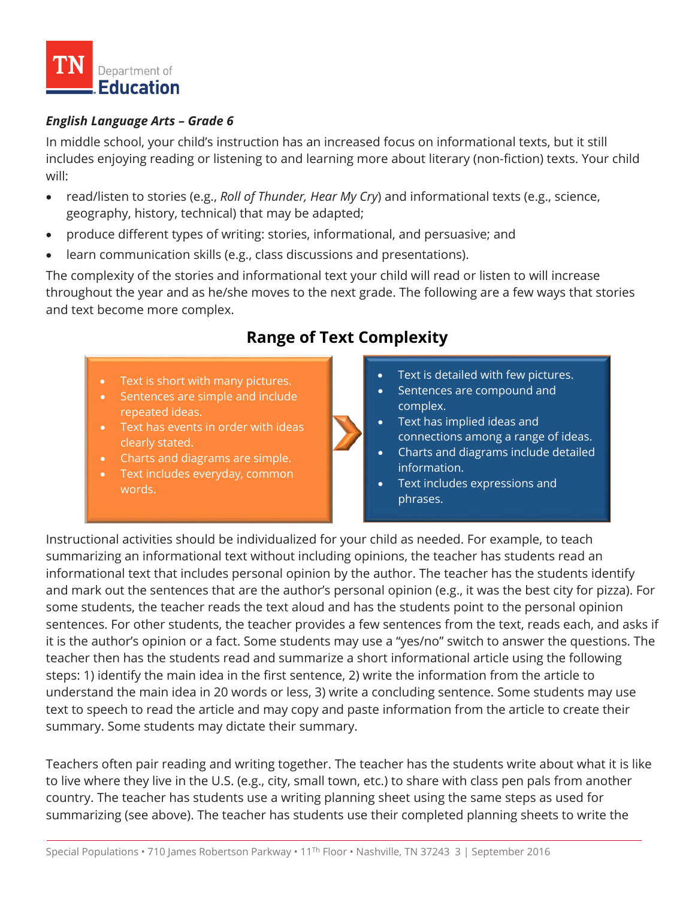

### *English Language Arts – Grade 6*

In middle school, your child's instruction has an increased focus on informational texts, but it still includes enjoying reading or listening to and learning more about literary (non-fiction) texts. Your child will:

- read/listen to stories (e.g., *Roll of Thunder, Hear My Cry*) and informational texts (e.g., science, geography, history, technical) that may be adapted;
- produce different types of writing: stories, informational, and persuasive; and
- learn communication skills (e.g., class discussions and presentations).

The complexity of the stories and informational text your child will read or listen to will increase throughout the year and as he/she moves to the next grade. The following are a few ways that stories and text become more complex.

### **Range of Text Complexity**

- Text is short with many pictures.
- Sentences are simple and include repeated ideas.
- Text has events in order with ideas clearly stated.
- Charts and diagrams are simple.
- Text includes everyday, common words.



- Text is detailed with few pictures.
- Sentences are compound and complex.
- Text has implied ideas and connections among a range of ideas.
- Charts and diagrams include detailed information.
- Text includes expressions and phrases.

Instructional activities should be individualized for your child as needed. For example, to teach summarizing an informational text without including opinions, the teacher has students read an informational text that includes personal opinion by the author. The teacher has the students identify and mark out the sentences that are the author's personal opinion (e.g., it was the best city for pizza). For some students, the teacher reads the text aloud and has the students point to the personal opinion sentences. For other students, the teacher provides a few sentences from the text, reads each, and asks if it is the author's opinion or a fact. Some students may use a "yes/no" switch to answer the questions. The teacher then has the students read and summarize a short informational article using the following steps: 1) identify the main idea in the first sentence, 2) write the information from the article to understand the main idea in 20 words or less, 3) write a concluding sentence. Some students may use text to speech to read the article and may copy and paste information from the article to create their summary. Some students may dictate their summary.

Teachers often pair reading and writing together. The teacher has the students write about what it is like to live where they live in the U.S. (e.g., city, small town, etc.) to share with class pen pals from another country. The teacher has students use a writing planning sheet using the same steps as used for summarizing (see above). The teacher has students use their completed planning sheets to write the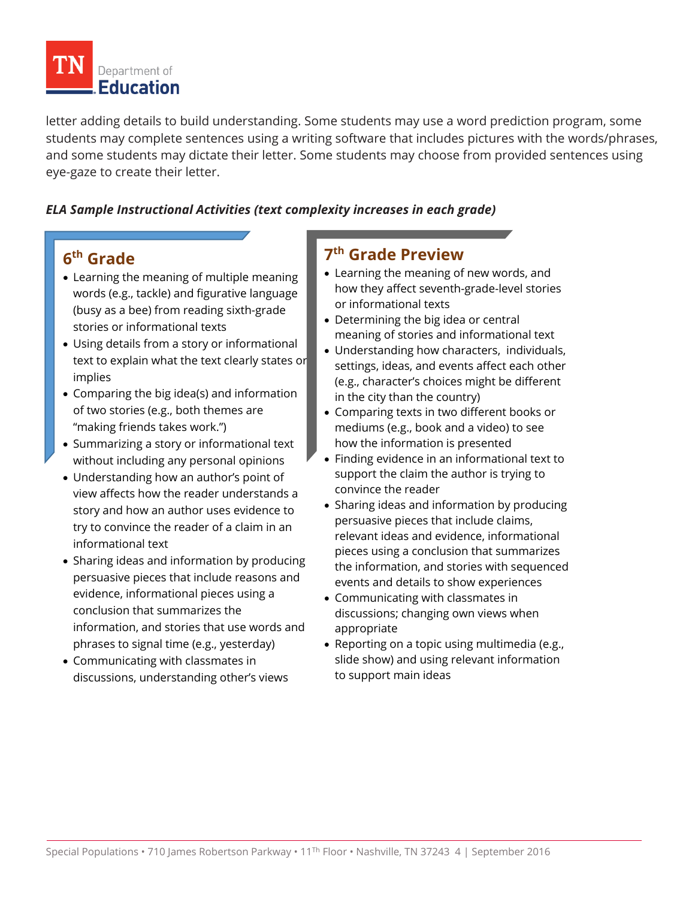

letter adding details to build understanding. Some students may use a word prediction program, some students may complete sentences using a writing software that includes pictures with the words/phrases, and some students may dictate their letter. Some students may choose from provided sentences using eye-gaze to create their letter.

### *ELA Sample Instructional Activities (text complexity increases in each grade)*

## **6th Grade**

- Learning the meaning of multiple meaning words (e.g., tackle) and figurative language (busy as a bee) from reading sixth-grade stories or informational texts
- Using details from a story or informational text to explain what the text clearly states or implies
- Comparing the big idea(s) and information of two stories (e.g., both themes are "making friends takes work.")
- Summarizing a story or informational text without including any personal opinions
- Understanding how an author's point of view affects how the reader understands a story and how an author uses evidence to try to convince the reader of a claim in an informational text
- Sharing ideas and information by producing persuasive pieces that include reasons and evidence, informational pieces using a conclusion that summarizes the information, and stories that use words and phrases to signal time (e.g., yesterday)
- Communicating with classmates in discussions, understanding other's views

### **7th Grade Preview**

- Learning the meaning of new words, and how they affect seventh-grade-level stories or informational texts
- Determining the big idea or central meaning of stories and informational text
- Understanding how characters, individuals, settings, ideas, and events affect each other (e.g., character's choices might be different in the city than the country)
- Comparing texts in two different books or mediums (e.g., book and a video) to see how the information is presented
- Finding evidence in an informational text to support the claim the author is trying to convince the reader
- Sharing ideas and information by producing persuasive pieces that include claims, relevant ideas and evidence, informational pieces using a conclusion that summarizes the information, and stories with sequenced events and details to show experiences
- Communicating with classmates in discussions; changing own views when appropriate
- Reporting on a topic using multimedia (e.g., slide show) and using relevant information to support main ideas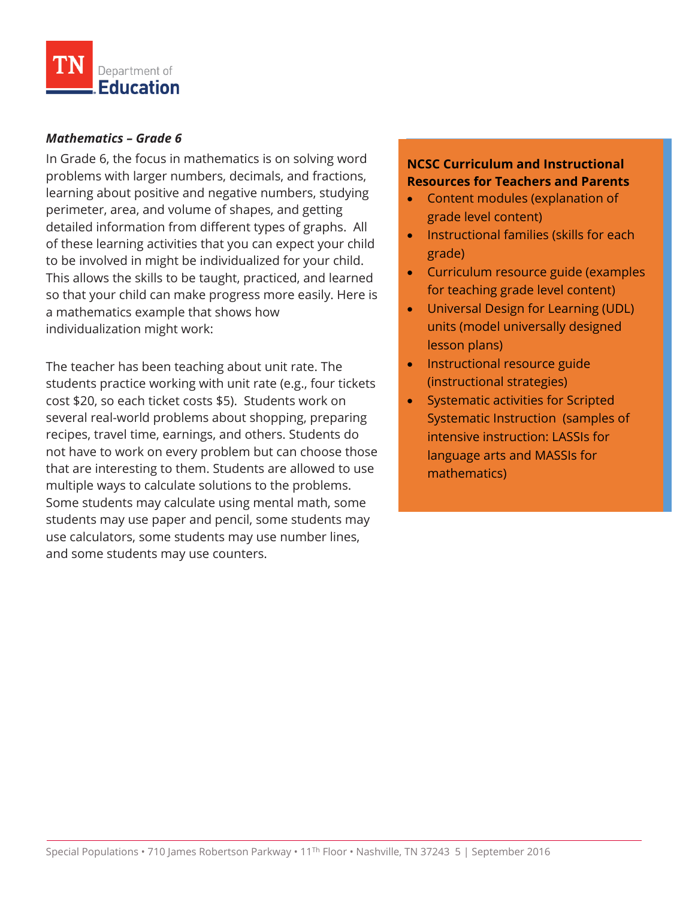

#### *Mathematics – Grade 6*

In Grade 6, the focus in mathematics is on solving word problems with larger numbers, decimals, and fractions, learning about positive and negative numbers, studying perimeter, area, and volume of shapes, and getting detailed information from different types of graphs. All of these learning activities that you can expect your child to be involved in might be individualized for your child. This allows the skills to be taught, practiced, and learned so that your child can make progress more easily. Here is a mathematics example that shows how individualization might work:

The teacher has been teaching about unit rate. The students practice working with unit rate (e.g., four tickets cost \$20, so each ticket costs \$5). Students work on several real-world problems about shopping, preparing recipes, travel time, earnings, and others. Students do not have to work on every problem but can choose those that are interesting to them. Students are allowed to use multiple ways to calculate solutions to the problems. Some students may calculate using mental math, some students may use paper and pencil, some students may use calculators, some students may use number lines, and some students may use counters.

### **NCSC Curriculum and Instructional Resources for Teachers and Parents**

- Content modules (explanation of grade level content)
- Instructional families (skills for each grade)
- Curriculum resource guide (examples for teaching grade level content)
- Universal Design for Learning (UDL) units (model universally designed lesson plans)
- Instructional resource guide (instructional strategies)
- Systematic activities for Scripted Systematic Instruction (samples of intensive instruction: LASSIs for language arts and MASSIs for mathematics)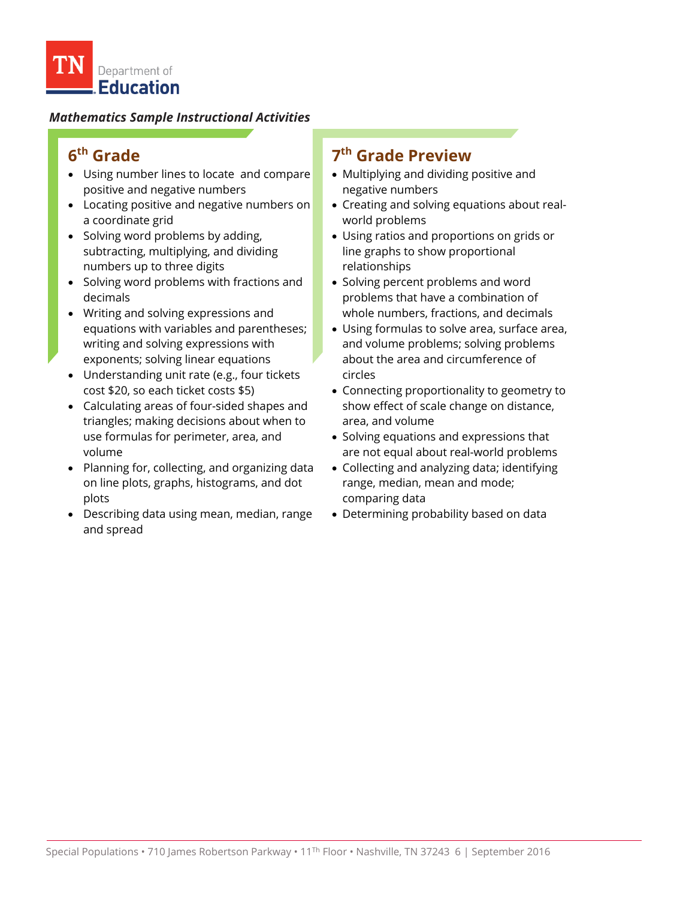### *Mathematics Sample Instructional Activities*

# **6th Grade**

- Using number lines to locate and compare positive and negative numbers
- Locating positive and negative numbers on a coordinate grid
- Solving word problems by adding, subtracting, multiplying, and dividing numbers up to three digits
- Solving word problems with fractions and decimals
- Writing and solving expressions and equations with variables and parentheses; writing and solving expressions with exponents; solving linear equations
- Understanding unit rate (e.g., four tickets cost \$20, so each ticket costs \$5)
- Calculating areas of four-sided shapes and triangles; making decisions about when to use formulas for perimeter, area, and volume
- Planning for, collecting, and organizing data on line plots, graphs, histograms, and dot plots
- Describing data using mean, median, range and spread

### **7th Grade Preview**

- Multiplying and dividing positive and negative numbers
- Creating and solving equations about realworld problems
- Using ratios and proportions on grids or line graphs to show proportional relationships
- Solving percent problems and word problems that have a combination of whole numbers, fractions, and decimals
- Using formulas to solve area, surface area, and volume problems; solving problems about the area and circumference of circles
- Connecting proportionality to geometry to show effect of scale change on distance, area, and volume
- Solving equations and expressions that are not equal about real-world problems
- Collecting and analyzing data; identifying range, median, mean and mode; comparing data
- Determining probability based on data